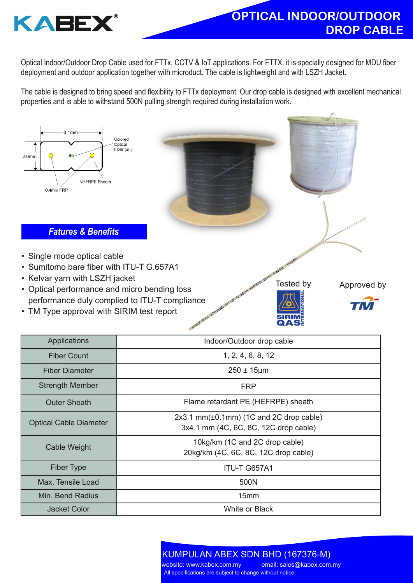

Optical Indoor/Outdoor Drop Cable used for FTTx, CCTV & IoT applications. For FTTX, it is specially designed for MDU fiber deployment and outdoor application together with microduct. The cable is lightweight and with LSZH Jacket.

The cable is designed to bring speed and flexibility to FTTx deployment. Our drop cable is designed with excellent mechanical properties and is able to withstand 500N pulling strength required during installation work.



- Optical performance and micro bending loss performance duly complied to ITU-T compliance
- TM Type approval with SIRIM test report

Tested by Approved by



| Applications                  | Indoor/Outdoor drop cable                                                                 |
|-------------------------------|-------------------------------------------------------------------------------------------|
| <b>Fiber Count</b>            | 1, 2, 4, 6, 8, 12                                                                         |
| <b>Fiber Diameter</b>         | $250 \pm 15 \mu m$                                                                        |
| <b>Strength Member</b>        | <b>FRP</b>                                                                                |
| <b>Outer Sheath</b>           | Flame retardant PE (HEFRPE) sheath                                                        |
| <b>Optical Cable Diameter</b> | $2x3.1$ mm( $\pm 0.1$ mm) (1C and 2C drop cable)<br>3x4.1 mm (4C, 6C, 8C, 12C drop cable) |
| Cable Weight                  | 10kg/km (1C and 2C drop cable)<br>20kg/km (4C, 6C, 8C, 12C drop cable)                    |
| <b>Fiber Type</b>             | <b>ITU-T G657A1</b>                                                                       |
| Max. Tensile Load             | 500N                                                                                      |
| Min. Bend Radius              | 15mm                                                                                      |
| Jacket Color                  | <b>White or Black</b>                                                                     |

KUMPULAN ABEX SDN BHD (167376-M) All specifications are subject to change without notice. <mark>website: www.kabex.com.my email: sales@kabex.com.my</mark>